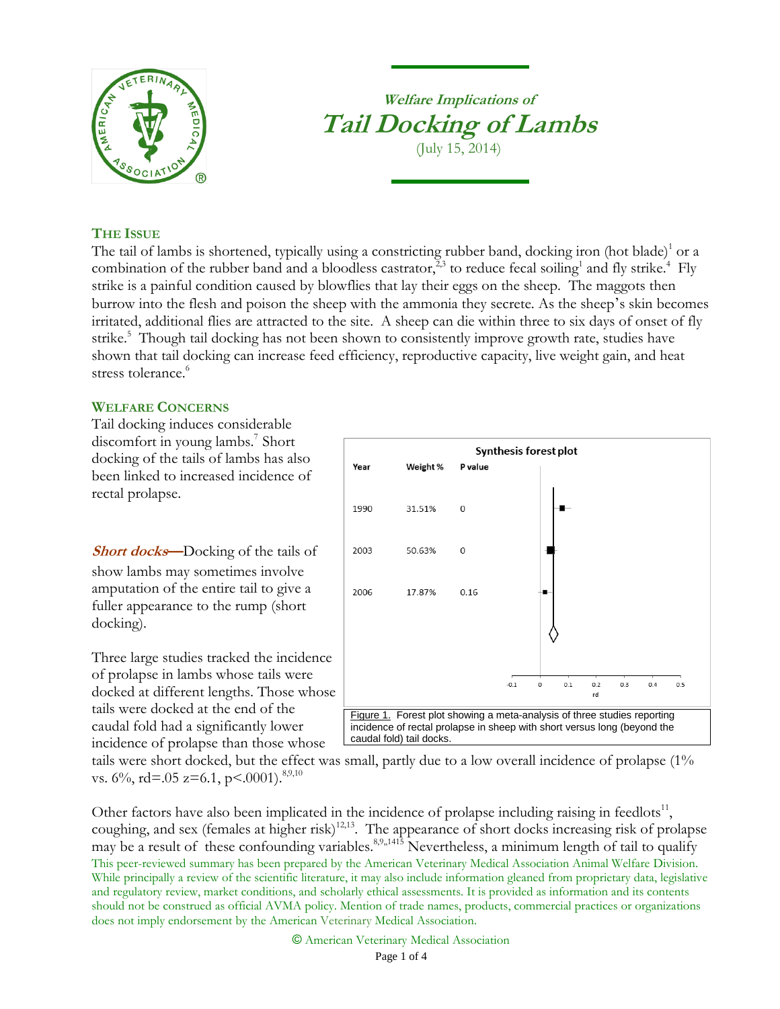

# **Welfare Implications of Tail Docking of Lambs** (July 15, 2014)

## **THE ISSUE**

The tail of lambs is shortened, typically using a constricting rubber band, docking iron (hot blade)<sup>1</sup> or a combination of the rubber band and a bloodless castrator,  $\frac{1}{2}$  to reduce fecal soiling<sup>1</sup> and fly strike.<sup>4</sup> Fly strike is a painful condition caused by blowflies that lay their eggs on the sheep. The maggots then burrow into the flesh and poison the sheep with the ammonia they secrete. As the sheep's skin becomes irritated, additional flies are attracted to the site. A sheep can die within three to six days of onset of fly strike.<sup>5</sup> Though tail docking has not been shown to consistently improve growth rate, studies have shown that tail docking can increase feed efficiency, reproductive capacity, live weight gain, and heat stress tolerance.<sup>6</sup>

## **WELFARE CONCERNS**

Tail docking induces considerable discomfort in young lambs.<sup>7</sup> Short docking of the tails of lambs has also been linked to increased incidence of rectal prolapse.

**Short docks**—Docking of the tails of show lambs may sometimes involve amputation of the entire tail to give a fuller appearance to the rump (short docking).

Three large studies tracked the incidence of prolapse in lambs whose tails were docked at different lengths. Those whose tails were docked at the end of the caudal fold had a significantly lower incidence of prolapse than those whose



tails were short docked, but the effect was small, partly due to a low overall incidence of prolapse (1% vs.  $6\%$ , rd= $.05$  z= $6.1$ , p< $.0001$ ).<sup>8,9,10</sup>

This peer-reviewed summary has been prepared by the American Veterinary Medical Association Animal Welfare Division. While principally a review of the scientific literature, it may also include information gleaned from proprietary data, legislative and regulatory review, market conditions, and scholarly ethical assessments. It is provided as information and its contents should not be construed as official AVMA policy. Mention of trade names, products, commercial practices or organizations does not imply endorsement by the American Veterinary Medical Association. Other factors have also been implicated in the incidence of prolapse including raising in feedlots $^{11}$ , coughing, and sex (females at higher risk)<sup>12,13</sup>. The appearance of short docks increasing risk of prolapse may be a result of these confounding variables.<sup>8,9</sup>,,1415 Nevertheless, a minimum length of tail to qualify

© American Veterinary Medical Association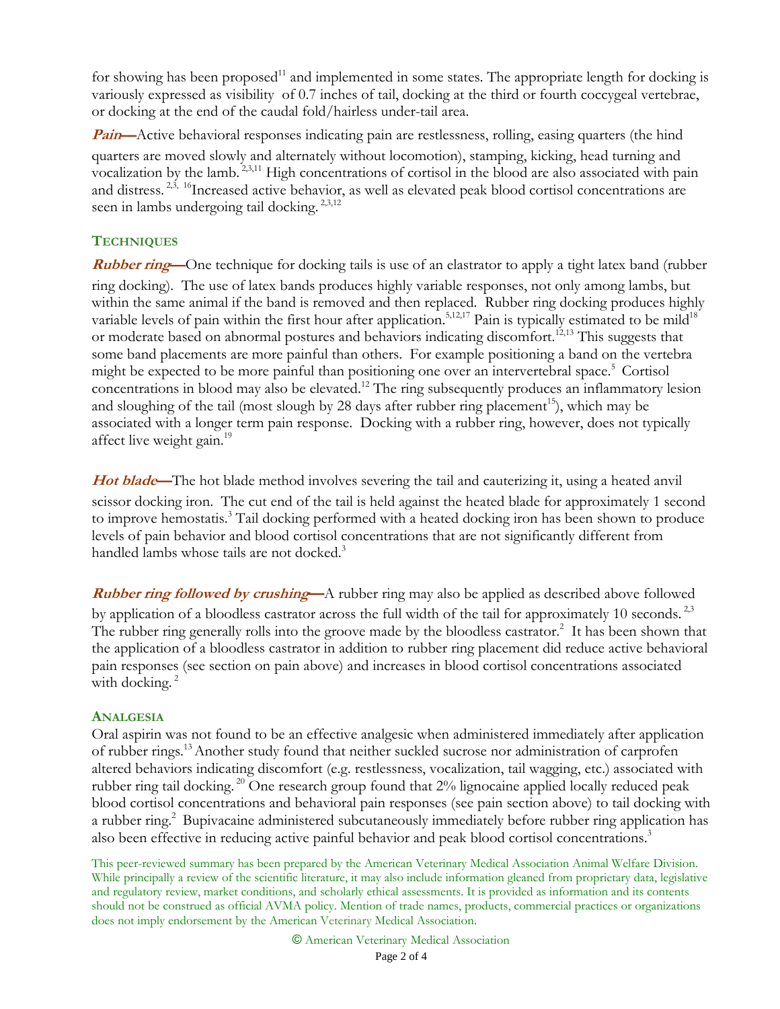for showing has been proposed<sup>11</sup> and implemented in some states. The appropriate length for docking is variously expressed as visibility of 0.7 inches of tail, docking at the third or fourth coccygeal vertebrae, or docking at the end of the caudal fold/hairless under-tail area.

**Pain—**Active behavioral responses indicating pain are restlessness, rolling, easing quarters (the hind quarters are moved slowly and alternately without locomotion), stamping, kicking, head turning and vocalization by the lamb. 2,3,11 High concentrations of cortisol in the blood are also associated with pain and distress.<sup>2,3, 16</sup>Increased active behavior, as well as elevated peak blood cortisol concentrations are seen in lambs undergoing tail docking.<sup>2,3,12</sup>

## **TECHNIQUES**

**Rubber ring**—One technique for docking tails is use of an elastrator to apply a tight latex band (rubber ring docking). The use of latex bands produces highly variable responses, not only among lambs, but within the same animal if the band is removed and then replaced. Rubber ring docking produces highly variable levels of pain within the first hour after application.<sup>5,12,17</sup> Pain is typically estimated to be mild<sup>18</sup> or moderate based on abnormal postures and behaviors indicating discomfort.<sup>12,13</sup> This suggests that some band placements are more painful than others. For example positioning a band on the vertebra might be expected to be more painful than positioning one over an intervertebral space.<sup>5</sup> Cortisol concentrations in blood may also be elevated.<sup>12</sup> The ring subsequently produces an inflammatory lesion and sloughing of the tail (most slough by 28 days after rubber ring placement<sup>15</sup>), which may be associated with a longer term pain response. Docking with a rubber ring, however, does not typically affect live weight gain.<sup>19</sup>

**Hot blade**—The hot blade method involves severing the tail and cauterizing it, using a heated anvil scissor docking iron. The cut end of the tail is held against the heated blade for approximately 1 second to improve hemostatis.<sup>3</sup> Tail docking performed with a heated docking iron has been shown to produce levels of pain behavior and blood cortisol concentrations that are not significantly different from handled lambs whose tails are not docked.<sup>3</sup>

**Rubber ring followed by crushing**—A rubber ring may also be applied as described above followed by application of a bloodless castrator across the full width of the tail for approximately 10 seconds.<sup>2,3</sup> The rubber ring generally rolls into the groove made by the bloodless castrator.<sup>2</sup> It has been shown that the application of a bloodless castrator in addition to rubber ring placement did reduce active behavioral pain responses (see section on pain above) and increases in blood cortisol concentrations associated with docking.<sup>2</sup>

## **ANALGESIA**

Oral aspirin was not found to be an effective analgesic when administered immediately after application of rubber rings.<sup>13</sup>Another study found that neither suckled sucrose nor administration of carprofen altered behaviors indicating discomfort (e.g. restlessness, vocalization, tail wagging, etc.) associated with rubber ring tail docking.<sup>20</sup> One research group found that  $2\%$  lignocaine applied locally reduced peak blood cortisol concentrations and behavioral pain responses (see pain section above) to tail docking with a rubber ring.<sup>2</sup> Bupivacaine administered subcutaneously immediately before rubber ring application has also been effective in reducing active painful behavior and peak blood cortisol concentrations.<sup>3</sup>

This peer-reviewed summary has been prepared by the American Veterinary Medical Association Animal Welfare Division. While principally a review of the scientific literature, it may also include information gleaned from proprietary data, legislative and regulatory review, market conditions, and scholarly ethical assessments. It is provided as information and its contents should not be construed as official AVMA policy. Mention of trade names, products, commercial practices or organizations does not imply endorsement by the American Veterinary Medical Association.

© American Veterinary Medical Association

Page 2 of 4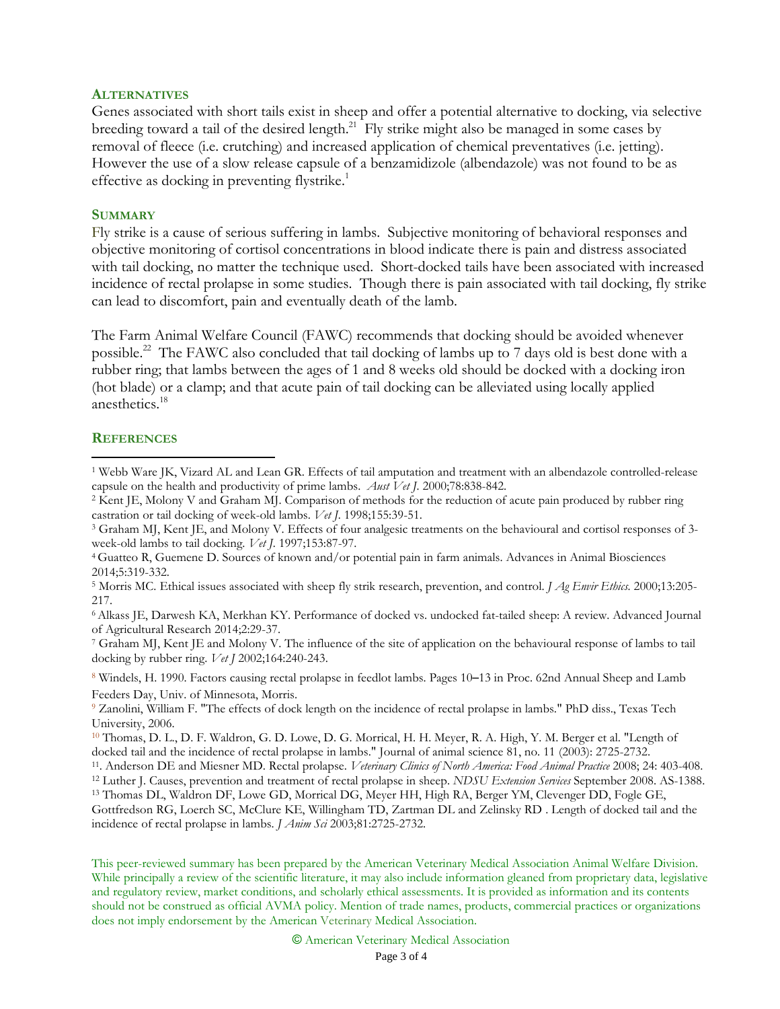### **ALTERNATIVES**

Genes associated with short tails exist in sheep and offer a potential alternative to docking, via selective breeding toward a tail of the desired length. $^{21}$  Fly strike might also be managed in some cases by removal of fleece (i.e. crutching) and increased application of chemical preventatives (i.e. jetting). However the use of a slow release capsule of a benzamidizole (albendazole) was not found to be as effective as docking in preventing flystrike.<sup>1</sup>

#### **SUMMARY**

Fly strike is a cause of serious suffering in lambs. Subjective monitoring of behavioral responses and objective monitoring of cortisol concentrations in blood indicate there is pain and distress associated with tail docking, no matter the technique used. Short-docked tails have been associated with increased incidence of rectal prolapse in some studies. Though there is pain associated with tail docking, fly strike can lead to discomfort, pain and eventually death of the lamb.

The Farm Animal Welfare Council (FAWC) recommends that docking should be avoided whenever possible.<sup>22</sup> The FAWC also concluded that tail docking of lambs up to 7 days old is best done with a rubber ring; that lambs between the ages of 1 and 8 weeks old should be docked with a docking iron (hot blade) or a clamp; and that acute pain of tail docking can be alleviated using locally applied anesthetics.<sup>18</sup>

#### **REFERENCES**

 $\overline{a}$ 

<sup>7</sup> Graham MJ, Kent JE and Molony V. The influence of the site of application on the behavioural response of lambs to tail docking by rubber ring. *Vet J* 2002;164:240-243.

<sup>8</sup> Windels, H. 1990. Factors causing rectal prolapse in feedlot lambs. Pages 10–13 in Proc. 62nd Annual Sheep and Lamb Feeders Day, Univ. of Minnesota, Morris.

<sup>9</sup> Zanolini, William F. "The effects of dock length on the incidence of rectal prolapse in lambs." PhD diss., Texas Tech University, 2006.

11 . Anderson DE and Miesner MD. Rectal prolapse. *Veterinary Clinics of North America: Food Animal Practice* 2008; 24: 403-408.

<sup>12</sup> Luther J. Causes, prevention and treatment of rectal prolapse in sheep. *NDSU Extension Services* September 2008. AS-1388. <sup>13</sup> Thomas DL, Waldron DF, Lowe GD, Morrical DG, Meyer HH, High RA, Berger YM, Clevenger DD, Fogle GE, Gottfredson RG, Loerch SC, McClure KE, Willingham TD, Zartman DL and Zelinsky RD . Length of docked tail and the incidence of rectal prolapse in lambs. *J Anim Sci* 2003;81:2725-2732.

This peer-reviewed summary has been prepared by the American Veterinary Medical Association Animal Welfare Division. While principally a review of the scientific literature, it may also include information gleaned from proprietary data, legislative and regulatory review, market conditions, and scholarly ethical assessments. It is provided as information and its contents should not be construed as official AVMA policy. Mention of trade names, products, commercial practices or organizations does not imply endorsement by the American Veterinary Medical Association.

© American Veterinary Medical Association

<sup>1</sup> Webb Ware JK, Vizard AL and Lean GR. Effects of tail amputation and treatment with an albendazole controlled-release capsule on the health and productivity of prime lambs. *Aust Vet J.* 2000;78:838-842.

<sup>2</sup> Kent JE, Molony V and Graham MJ. Comparison of methods for the reduction of acute pain produced by rubber ring castration or tail docking of week-old lambs. *Vet J.* 1998;155:39-51.

<sup>3</sup> Graham MJ, Kent JE, and Molony V. Effects of four analgesic treatments on the behavioural and cortisol responses of 3 week-old lambs to tail docking. *Vet J.* 1997;153:87-97.

<sup>4</sup> Guatteo R, Guemene D. Sources of known and/or potential pain in farm animals. Advances in Animal Biosciences 2014;5:319-332.

<sup>5</sup> Morris MC. Ethical issues associated with sheep fly strik research, prevention, and control. *J Ag Envir Ethics.* 2000;13:205- 217.

<sup>&</sup>lt;sup>6</sup> Alkass JE, Darwesh KA, Merkhan KY. Performance of docked vs. undocked fat-tailed sheep: A review. Advanced Journal of Agricultural Research 2014;2:29-37.

<sup>10</sup> Thomas, D. L., D. F. Waldron, G. D. Lowe, D. G. Morrical, H. H. Meyer, R. A. High, Y. M. Berger et al. "Length of docked tail and the incidence of rectal prolapse in lambs." Journal of animal science 81, no. 11 (2003): 2725-2732.